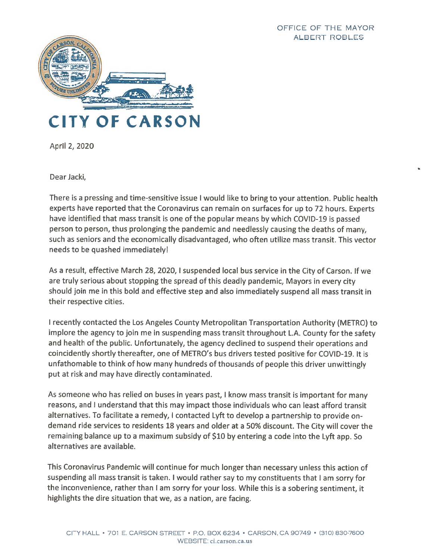

April 2, 2020

Dear Jacki,

There is <sup>a</sup> pressing and time-sensitive issue <sup>I</sup> would like to bring to your attention. Public health experts have reported that the Coronavirus can remain on surfaces for up to <sup>72</sup> hours. Experts have identified that mass transit is one of the popular means by which COVID-19 is passed person to person, thus prolonging the pandemic and needlessly causing the deaths of many, such as seniors and the economically disadvantaged, who often utilize mass transit. This vector needs to be quashed immediately!

As <sup>a</sup> result, effective March 28, 2020, <sup>I</sup> suspended local bus service in the City of Carson. If we are truly serious about stopping the spread of this deadly pandemic, Mayors in every city should join me in this bold and effective step and also immediately suspend all mass transit in their respective cities.

<sup>I</sup> recently contacted the Los Angeles County Metropolitan Transportation Authority (METRO) to implore the agency to join me in suspending mass transit throughout L.A. County for the safety and health of the public. Unfortunately, the agency declined to suspen<sup>d</sup> their operations and coincidently shortly thereafter, one of METRO's bus drivers tested positive for COVID-19. It is unfathomable to think of how many hundreds of thousands of people this driver unwittingly pu<sup>t</sup> at risk and may have directly contaminated.

As someone who has relied on buses in years past, <sup>I</sup> know mass transit is important for many reasons, and I understand that this may impact those individuals who can least afford transit alternatives. To facilitate <sup>a</sup> remedy, <sup>I</sup> contacted Lyft to develop <sup>a</sup> partnership to provide ondemand ride services to residents <sup>18</sup> years and older at <sup>a</sup> 50% discount. The City will cover the remaining balance up to <sup>a</sup> maximum subsidy of \$10 by entering <sup>a</sup> code into the Lyft app. So alternatives are available.

This Coronavirus Pandemic will continue for much longer than necessary unless this action of suspending all mass transit is taken. <sup>I</sup> would rather say to my constituents that <sup>I</sup> am sorry for the inconvenience, rather than <sup>I</sup> am sorry for your loss. While this is <sup>a</sup> sobering sentiment, it highlights the dire situation that we, as <sup>a</sup> nation, are facing.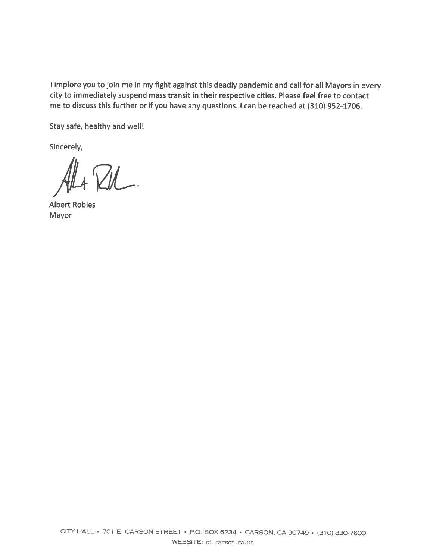<sup>I</sup> implore you to join me in my fight against this deadly pandemic and call for all Mayors in every city to immediately suspend mass transit in their respective cities. Please feel free to contact me to discuss this further or if you have any questions. <sup>I</sup> can be reached at (310) 952-1706.

Stay safe, healthy and well!

Sincerely,

 $AL + ZU$ .

Mayor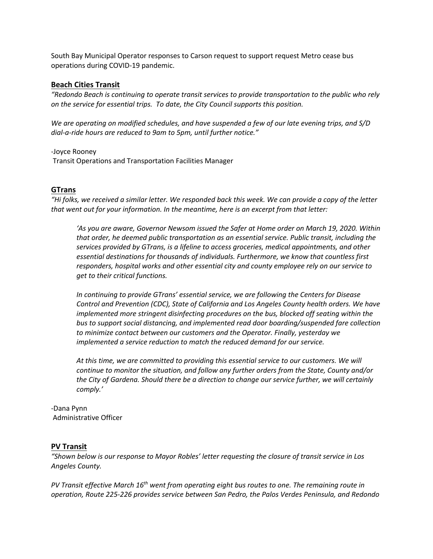South Bay Municipal Operator responses to Carson request to support request Metro cease bus operations during COVID-19 pandemic.

### **Beach Cities Transit**

*"Redondo Beach is continuing to operate transit services to provide transportation to the public who rely on the service for essential trips. To date, the City Council supports this position.*

*We are operating on modified schedules, and have suspended a few of our late evening trips, and S/D dial-a-ride hours are reduced to 9am to 5pm, until further notice."*

-Joyce Rooney

Transit Operations and Transportation Facilities Manager

# **GTrans**

"Hi folks, we received a similar letter. We responded back this week. We can provide a copy of the letter *that went out for your information. In the meantime, here is an excerpt from that letter:*

*'As you are aware, Governor Newsom issued the Safer at Home order on March 19, 2020. Within that order, he deemed public transportation as an essential service. Public transit, including the services provided by GTrans, is a lifeline to access groceries, medical appointments, and other essential destinations for thousands of individuals. Furthermore, we know that countless first responders, hospital works and other essential city and county employee rely on our service to get to their critical functions.*

*In continuing to provide GTrans' essential service, we are following the Centers for Disease Control and Prevention (CDC), State of California and Los Angeles County health orders. We have implemented more stringent disinfecting procedures on the bus, blocked off seating within the bus to support social distancing, and implemented read door boarding/suspended fare collection to minimize contact between our customers and the Operator. Finally, yesterday we implemented a service reduction to match the reduced demand for our service.*

*At this time, we are committed to providing this essential service to our customers. We will continue to monitor the situation, and follow any further orders from the State, County and/or the City of Gardena. Should there be a direction to change our service further, we will certainly comply.'*

### -Dana Pynn Administrative Officer

### **PV Transit**

*"Shown below is our response to Mayor Robles' letter requesting the closure of transit service in Los Angeles County.*

*PV Transit effective March 16th went from operating eight bus routes to one. The remaining route in operation, Route 225-226 provides service between San Pedro, the Palos Verdes Peninsula, and Redondo*